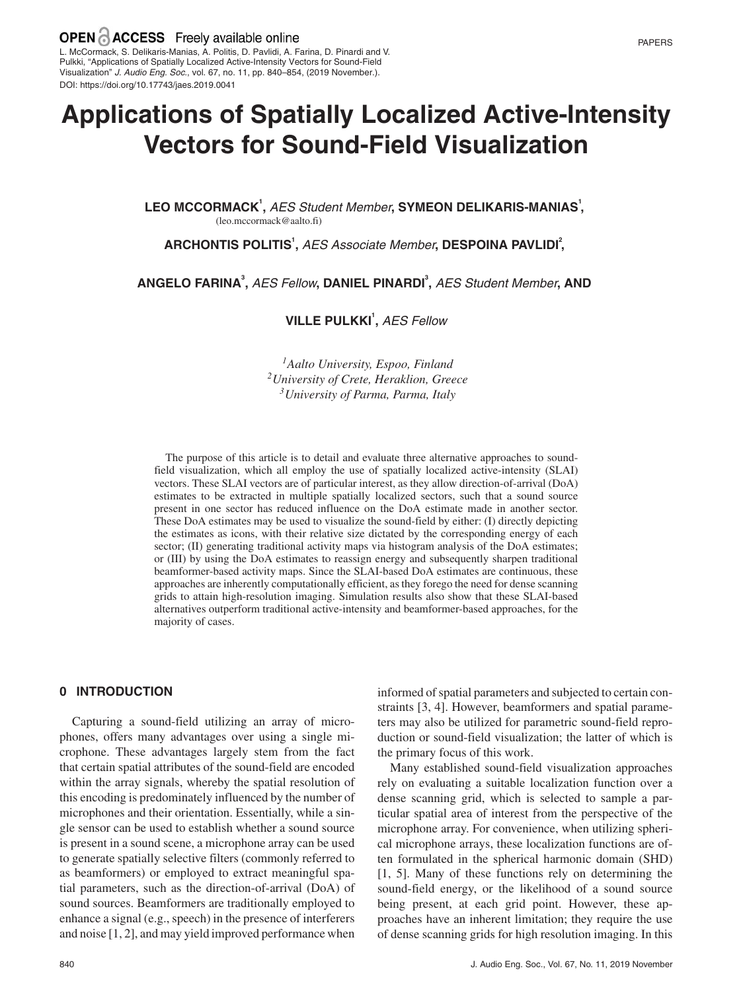L. McCormack, S. Delikaris-Manias, A. Politis, D. Pavlidi, A. Farina, D. Pinardi and V. Pulkki, "Applications of Spatially Localized Active-Intensity Vectors for Sound-Field Visualization" *J. Audio Eng. Soc.*, vol. 67, no. 11, pp. 840–854, (2019 November.). DOI: https://doi.org/10.17743/jaes.2019.0041

LEO MCCORMACK<sup>1</sup>, AES Student Member, SYMEON DELIKARIS-MANIAS<sup>1</sup>, (leo.mccormack@aalto.fi)

**ARCHONTIS POLITIS1 ,** *AES Associate Member***, DESPOINA PAVLIDI<sup>2</sup> ,**

**ANGELO FARINA<sup>3</sup> ,** *AES Fellow***, DANIEL PINARDI<sup>3</sup> ,** *AES Student Member***, AND**

**VILLE PULKKI<sup>1</sup> ,** *AES Fellow*

*1Aalto University, Espoo, Finland 2University of Crete, Heraklion, Greece 3University of Parma, Parma, Italy*

The purpose of this article is to detail and evaluate three alternative approaches to soundfield visualization, which all employ the use of spatially localized active-intensity (SLAI) vectors. These SLAI vectors are of particular interest, as they allow direction-of-arrival (DoA) estimates to be extracted in multiple spatially localized sectors, such that a sound source present in one sector has reduced influence on the DoA estimate made in another sector. These DoA estimates may be used to visualize the sound-field by either: (I) directly depicting the estimates as icons, with their relative size dictated by the corresponding energy of each sector; (II) generating traditional activity maps via histogram analysis of the DoA estimates; or (III) by using the DoA estimates to reassign energy and subsequently sharpen traditional beamformer-based activity maps. Since the SLAI-based DoA estimates are continuous, these approaches are inherently computationally efficient, as they forego the need for dense scanning grids to attain high-resolution imaging. Simulation results also show that these SLAI-based alternatives outperform traditional active-intensity and beamformer-based approaches, for the majority of cases.

# **0 INTRODUCTION**

Capturing a sound-field utilizing an array of microphones, offers many advantages over using a single microphone. These advantages largely stem from the fact that certain spatial attributes of the sound-field are encoded within the array signals, whereby the spatial resolution of this encoding is predominately influenced by the number of microphones and their orientation. Essentially, while a single sensor can be used to establish whether a sound source is present in a sound scene, a microphone array can be used to generate spatially selective filters (commonly referred to as beamformers) or employed to extract meaningful spatial parameters, such as the direction-of-arrival (DoA) of sound sources. Beamformers are traditionally employed to enhance a signal (e.g., speech) in the presence of interferers and noise [1, 2], and may yield improved performance when

informed of spatial parameters and subjected to certain constraints [3, 4]. However, beamformers and spatial parameters may also be utilized for parametric sound-field reproduction or sound-field visualization; the latter of which is the primary focus of this work.

Many established sound-field visualization approaches rely on evaluating a suitable localization function over a dense scanning grid, which is selected to sample a particular spatial area of interest from the perspective of the microphone array. For convenience, when utilizing spherical microphone arrays, these localization functions are often formulated in the spherical harmonic domain (SHD) [1, 5]. Many of these functions rely on determining the sound-field energy, or the likelihood of a sound source being present, at each grid point. However, these approaches have an inherent limitation; they require the use of dense scanning grids for high resolution imaging. In this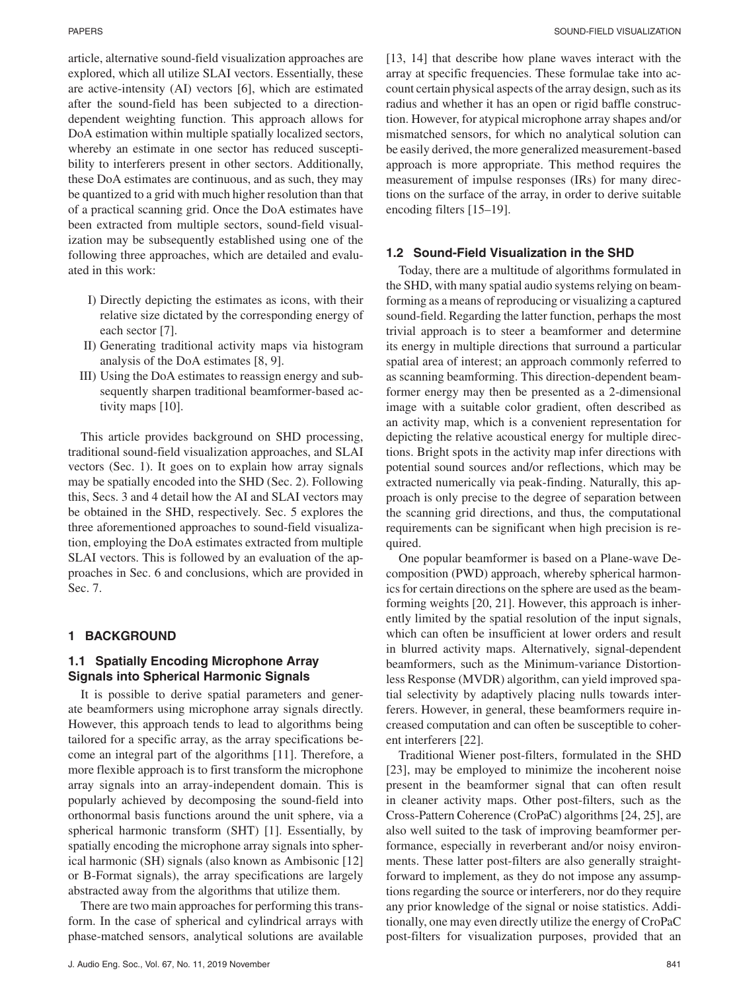article, alternative sound-field visualization approaches are explored, which all utilize SLAI vectors. Essentially, these are active-intensity (AI) vectors [6], which are estimated after the sound-field has been subjected to a directiondependent weighting function. This approach allows for DoA estimation within multiple spatially localized sectors, whereby an estimate in one sector has reduced susceptibility to interferers present in other sectors. Additionally, these DoA estimates are continuous, and as such, they may be quantized to a grid with much higher resolution than that of a practical scanning grid. Once the DoA estimates have been extracted from multiple sectors, sound-field visualization may be subsequently established using one of the following three approaches, which are detailed and evaluated in this work:

- I) Directly depicting the estimates as icons, with their relative size dictated by the corresponding energy of each sector [7].
- II) Generating traditional activity maps via histogram analysis of the DoA estimates [8, 9].
- III) Using the DoA estimates to reassign energy and subsequently sharpen traditional beamformer-based activity maps [10].

This article provides background on SHD processing, traditional sound-field visualization approaches, and SLAI vectors (Sec. 1). It goes on to explain how array signals may be spatially encoded into the SHD (Sec. 2). Following this, Secs. 3 and 4 detail how the AI and SLAI vectors may be obtained in the SHD, respectively. Sec. 5 explores the three aforementioned approaches to sound-field visualization, employing the DoA estimates extracted from multiple SLAI vectors. This is followed by an evaluation of the approaches in Sec. 6 and conclusions, which are provided in Sec. 7.

### **1 BACKGROUND**

## **1.1 Spatially Encoding Microphone Array Signals into Spherical Harmonic Signals**

It is possible to derive spatial parameters and generate beamformers using microphone array signals directly. However, this approach tends to lead to algorithms being tailored for a specific array, as the array specifications become an integral part of the algorithms [11]. Therefore, a more flexible approach is to first transform the microphone array signals into an array-independent domain. This is popularly achieved by decomposing the sound-field into orthonormal basis functions around the unit sphere, via a spherical harmonic transform (SHT) [1]. Essentially, by spatially encoding the microphone array signals into spherical harmonic (SH) signals (also known as Ambisonic [12] or B-Format signals), the array specifications are largely abstracted away from the algorithms that utilize them.

There are two main approaches for performing this transform. In the case of spherical and cylindrical arrays with phase-matched sensors, analytical solutions are available [13, 14] that describe how plane waves interact with the array at specific frequencies. These formulae take into account certain physical aspects of the array design, such as its radius and whether it has an open or rigid baffle construction. However, for atypical microphone array shapes and/or mismatched sensors, for which no analytical solution can be easily derived, the more generalized measurement-based approach is more appropriate. This method requires the measurement of impulse responses (IRs) for many directions on the surface of the array, in order to derive suitable encoding filters [15–19].

#### **1.2 Sound-Field Visualization in the SHD**

Today, there are a multitude of algorithms formulated in the SHD, with many spatial audio systems relying on beamforming as a means of reproducing or visualizing a captured sound-field. Regarding the latter function, perhaps the most trivial approach is to steer a beamformer and determine its energy in multiple directions that surround a particular spatial area of interest; an approach commonly referred to as scanning beamforming. This direction-dependent beamformer energy may then be presented as a 2-dimensional image with a suitable color gradient, often described as an activity map, which is a convenient representation for depicting the relative acoustical energy for multiple directions. Bright spots in the activity map infer directions with potential sound sources and/or reflections, which may be extracted numerically via peak-finding. Naturally, this approach is only precise to the degree of separation between the scanning grid directions, and thus, the computational requirements can be significant when high precision is required.

One popular beamformer is based on a Plane-wave Decomposition (PWD) approach, whereby spherical harmonics for certain directions on the sphere are used as the beamforming weights [20, 21]. However, this approach is inherently limited by the spatial resolution of the input signals, which can often be insufficient at lower orders and result in blurred activity maps. Alternatively, signal-dependent beamformers, such as the Minimum-variance Distortionless Response (MVDR) algorithm, can yield improved spatial selectivity by adaptively placing nulls towards interferers. However, in general, these beamformers require increased computation and can often be susceptible to coherent interferers [22].

Traditional Wiener post-filters, formulated in the SHD [23], may be employed to minimize the incoherent noise present in the beamformer signal that can often result in cleaner activity maps. Other post-filters, such as the Cross-Pattern Coherence (CroPaC) algorithms [24, 25], are also well suited to the task of improving beamformer performance, especially in reverberant and/or noisy environments. These latter post-filters are also generally straightforward to implement, as they do not impose any assumptions regarding the source or interferers, nor do they require any prior knowledge of the signal or noise statistics. Additionally, one may even directly utilize the energy of CroPaC post-filters for visualization purposes, provided that an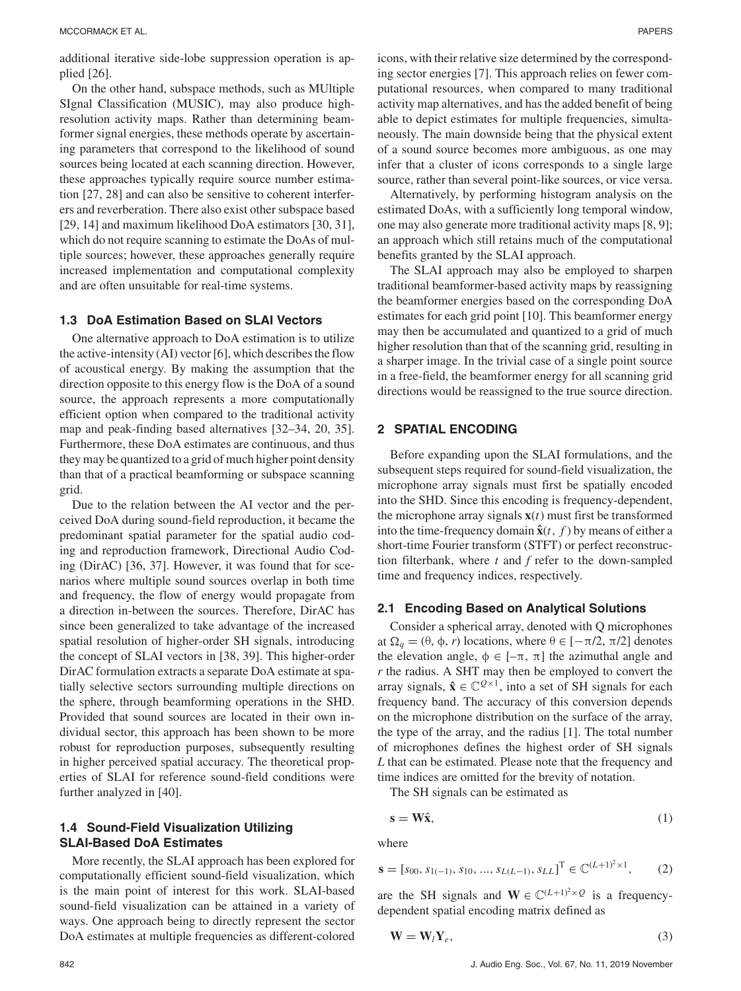additional iterative side-lobe suppression operation is applied [26].

On the other hand, subspace methods, such as MUltiple SIgnal Classification (MUSIC), may also produce highresolution activity maps. Rather than determining beamformer signal energies, these methods operate by ascertaining parameters that correspond to the likelihood of sound sources being located at each scanning direction. However, these approaches typically require source number estimation [27, 28] and can also be sensitive to coherent interferers and reverberation. There also exist other subspace based [29, 14] and maximum likelihood DoA estimators [30, 31], which do not require scanning to estimate the DoAs of multiple sources; however, these approaches generally require increased implementation and computational complexity and are often unsuitable for real-time systems.

#### **1.3 DoA Estimation Based on SLAI Vectors**

One alternative approach to DoA estimation is to utilize the active-intensity (AI) vector [6], which describes the flow of acoustical energy. By making the assumption that the direction opposite to this energy flow is the DoA of a sound source, the approach represents a more computationally efficient option when compared to the traditional activity map and peak-finding based alternatives [32–34, 20, 35]. Furthermore, these DoA estimates are continuous, and thus they may be quantized to a grid of much higher point density than that of a practical beamforming or subspace scanning grid.

Due to the relation between the AI vector and the perceived DoA during sound-field reproduction, it became the predominant spatial parameter for the spatial audio coding and reproduction framework, Directional Audio Coding (DirAC) [36, 37]. However, it was found that for scenarios where multiple sound sources overlap in both time and frequency, the flow of energy would propagate from a direction in-between the sources. Therefore, DirAC has since been generalized to take advantage of the increased spatial resolution of higher-order SH signals, introducing the concept of SLAI vectors in [38, 39]. This higher-order DirAC formulation extracts a separate DoA estimate at spatially selective sectors surrounding multiple directions on the sphere, through beamforming operations in the SHD. Provided that sound sources are located in their own individual sector, this approach has been shown to be more robust for reproduction purposes, subsequently resulting in higher perceived spatial accuracy. The theoretical properties of SLAI for reference sound-field conditions were further analyzed in [40].

## **1.4 Sound-Field Visualization Utilizing SLAI-Based DoA Estimates**

More recently, the SLAI approach has been explored for computationally efficient sound-field visualization, which is the main point of interest for this work. SLAI-based sound-field visualization can be attained in a variety of ways. One approach being to directly represent the sector DoA estimates at multiple frequencies as different-colored icons, with their relative size determined by the corresponding sector energies [7]. This approach relies on fewer computational resources, when compared to many traditional activity map alternatives, and has the added benefit of being able to depict estimates for multiple frequencies, simultaneously. The main downside being that the physical extent of a sound source becomes more ambiguous, as one may infer that a cluster of icons corresponds to a single large source, rather than several point-like sources, or vice versa.

Alternatively, by performing histogram analysis on the estimated DoAs, with a sufficiently long temporal window, one may also generate more traditional activity maps [8, 9]; an approach which still retains much of the computational benefits granted by the SLAI approach.

The SLAI approach may also be employed to sharpen traditional beamformer-based activity maps by reassigning the beamformer energies based on the corresponding DoA estimates for each grid point [10]. This beamformer energy may then be accumulated and quantized to a grid of much higher resolution than that of the scanning grid, resulting in a sharper image. In the trivial case of a single point source in a free-field, the beamformer energy for all scanning grid directions would be reassigned to the true source direction.

#### **2 SPATIAL ENCODING**

Before expanding upon the SLAI formulations, and the subsequent steps required for sound-field visualization, the microphone array signals must first be spatially encoded into the SHD. Since this encoding is frequency-dependent, the microphone array signals **x**(*t*) must first be transformed into the time-frequency domain  $\hat{\mathbf{x}}(t, f)$  by means of either a short-time Fourier transform (STFT) or perfect reconstruction filterbank, where *t* and *f* refer to the down-sampled time and frequency indices, respectively.

#### **2.1 Encoding Based on Analytical Solutions**

Consider a spherical array, denoted with Q microphones at  $\Omega_q = (\theta, \phi, r)$  locations, where  $\theta \in [-\pi/2, \pi/2]$  denotes the elevation angle,  $\phi \in [-\pi, \pi]$  the azimuthal angle and *r* the radius. A SHT may then be employed to convert the array signals,  $\hat{\mathbf{x}} \in \mathbb{C}^{\mathcal{Q} \times 1}$ , into a set of SH signals for each frequency band. The accuracy of this conversion depends on the microphone distribution on the surface of the array, the type of the array, and the radius [1]. The total number of microphones defines the highest order of SH signals *L* that can be estimated. Please note that the frequency and time indices are omitted for the brevity of notation.

The SH signals can be estimated as

$$
s = W\hat{x},\tag{1}
$$

where

$$
\mathbf{s} = [s_{00}, s_{1(-1)}, s_{10}, \dots, s_{L(L-1)}, s_{LL}]^{\mathrm{T}} \in \mathbb{C}^{(L+1)^2 \times 1},\tag{2}
$$

are the SH signals and  $\mathbf{W} \in \mathbb{C}^{(L+1)^2 \times Q}$  is a frequencydependent spatial encoding matrix defined as

$$
\mathbf{W} = \mathbf{W}_l \mathbf{Y}_e,\tag{3}
$$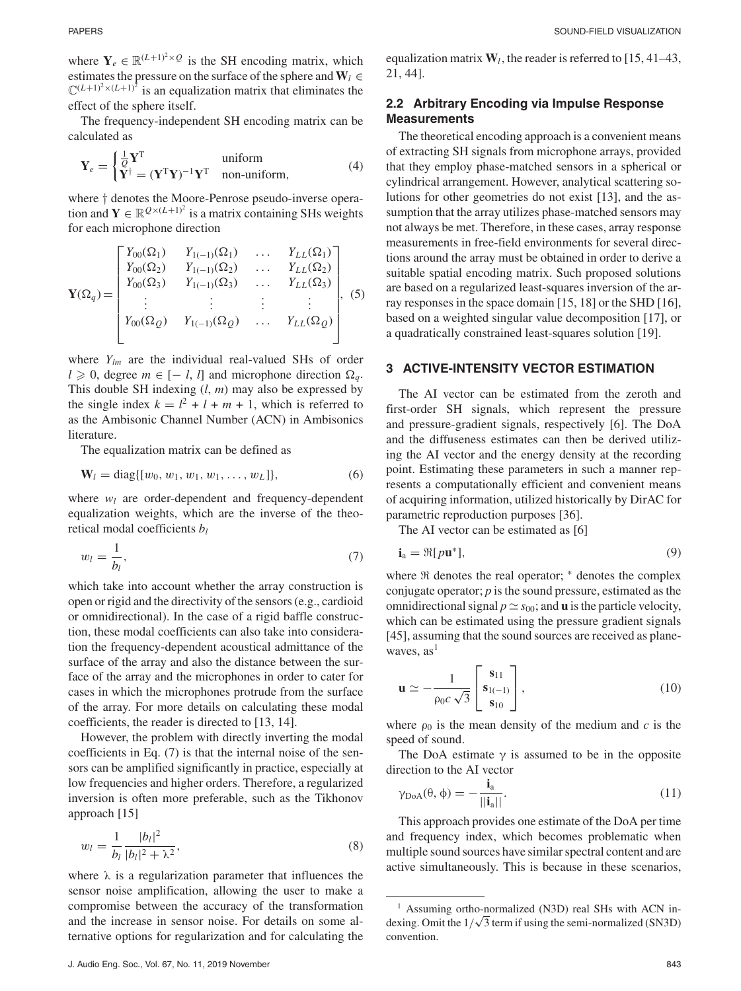where  $Y_e \in \mathbb{R}^{(L+1)^2 \times Q}$  is the SH encoding matrix, which estimates the pressure on the surface of the sphere and  $W_l \in$  $\mathbb{C}^{(L+1)^2 \times (L+1)^2}$  is an equalization matrix that eliminates the effect of the sphere itself.

The frequency-independent SH encoding matrix can be calculated as

$$
\mathbf{Y}_e = \begin{cases} \frac{1}{Q} \mathbf{Y}^{\mathrm{T}} & \text{uniform} \\ \mathbf{Y}^{\dagger} = (\mathbf{Y}^{\mathrm{T}} \mathbf{Y})^{-1} \mathbf{Y}^{\mathrm{T}} & \text{non-uniform,} \end{cases}
$$
(4)

where † denotes the Moore-Penrose pseudo-inverse operation and  $Y \in \mathbb{R}^{\mathcal{Q} \times (L+1)^2}$  is a matrix containing SHs weights for each microphone direction

$$
\mathbf{Y}(\Omega_q) = \begin{bmatrix} Y_{00}(\Omega_1) & Y_{1(-1)}(\Omega_1) & \dots & Y_{LL}(\Omega_1) \\ Y_{00}(\Omega_2) & Y_{1(-1)}(\Omega_2) & \dots & Y_{LL}(\Omega_2) \\ Y_{00}(\Omega_3) & Y_{1(-1)}(\Omega_3) & \dots & Y_{LL}(\Omega_3) \\ \vdots & \vdots & \vdots & \vdots \\ Y_{00}(\Omega_Q) & Y_{1(-1)}(\Omega_Q) & \dots & Y_{LL}(\Omega_Q) \end{bmatrix}, (5)
$$

where *Ylm* are the individual real-valued SHs of order *l* ≥ 0, degree *m* ∈ [− *l*, *l*] and microphone direction  $\Omega_q$ . This double SH indexing (*l*, *m*) may also be expressed by the single index  $k = l^2 + l + m + 1$ , which is referred to as the Ambisonic Channel Number (ACN) in Ambisonics literature.

The equalization matrix can be defined as

$$
\mathbf{W}_l = \text{diag}\{ [w_0, w_1, w_1, w_1, \dots, w_L] \},\tag{6}
$$

where  $w_l$  are order-dependent and frequency-dependent equalization weights, which are the inverse of the theoretical modal coefficients *bl*

$$
w_l = \frac{1}{b_l},\tag{7}
$$

which take into account whether the array construction is open or rigid and the directivity of the sensors (e.g., cardioid or omnidirectional). In the case of a rigid baffle construction, these modal coefficients can also take into consideration the frequency-dependent acoustical admittance of the surface of the array and also the distance between the surface of the array and the microphones in order to cater for cases in which the microphones protrude from the surface of the array. For more details on calculating these modal coefficients, the reader is directed to [13, 14].

However, the problem with directly inverting the modal coefficients in Eq. (7) is that the internal noise of the sensors can be amplified significantly in practice, especially at low frequencies and higher orders. Therefore, a regularized inversion is often more preferable, such as the Tikhonov approach [15]

$$
w_l = \frac{1}{b_l} \frac{|b_l|^2}{|b_l|^2 + \lambda^2},\tag{8}
$$

where  $\lambda$  is a regularization parameter that influences the sensor noise amplification, allowing the user to make a compromise between the accuracy of the transformation and the increase in sensor noise. For details on some alternative options for regularization and for calculating the

equalization matrix  $W_l$ , the reader is referred to [15, 41–43, 21, 44].

## **2.2 Arbitrary Encoding via Impulse Response Measurements**

The theoretical encoding approach is a convenient means of extracting SH signals from microphone arrays, provided that they employ phase-matched sensors in a spherical or cylindrical arrangement. However, analytical scattering solutions for other geometries do not exist [13], and the assumption that the array utilizes phase-matched sensors may not always be met. Therefore, in these cases, array response measurements in free-field environments for several directions around the array must be obtained in order to derive a suitable spatial encoding matrix. Such proposed solutions are based on a regularized least-squares inversion of the array responses in the space domain [15, 18] or the SHD [16], based on a weighted singular value decomposition [17], or a quadratically constrained least-squares solution [19].

## **3 ACTIVE-INTENSITY VECTOR ESTIMATION**

The AI vector can be estimated from the zeroth and first-order SH signals, which represent the pressure and pressure-gradient signals, respectively [6]. The DoA and the diffuseness estimates can then be derived utilizing the AI vector and the energy density at the recording point. Estimating these parameters in such a manner represents a computationally efficient and convenient means of acquiring information, utilized historically by DirAC for parametric reproduction purposes [36].

The AI vector can be estimated as [6]

$$
\mathbf{i}_a = \Re[p\mathbf{u}^*],\tag{9}
$$

where  $\Re$  denotes the real operator;  $*$  denotes the complex conjugate operator; *p* is the sound pressure, estimated as the omnidirectional signal  $p \simeq s_{00}$ ; and **u** is the particle velocity, which can be estimated using the pressure gradient signals [45], assuming that the sound sources are received as planewaves,  $as<sup>1</sup>$ 

$$
\mathbf{u} \simeq -\frac{1}{\rho_0 c \sqrt{3}} \begin{bmatrix} \mathbf{s}_{11} \\ \mathbf{s}_{1(-1)} \\ \mathbf{s}_{10} \end{bmatrix},\tag{10}
$$

where  $\rho_0$  is the mean density of the medium and *c* is the speed of sound.

The DoA estimate  $\gamma$  is assumed to be in the opposite direction to the AI vector

$$
\gamma_{\text{DoA}}(\theta,\phi) = -\frac{\mathbf{i}_a}{||\mathbf{i}_a||}.\tag{11}
$$

This approach provides one estimate of the DoA per time and frequency index, which becomes problematic when multiple sound sources have similar spectral content and are active simultaneously. This is because in these scenarios,

<sup>&</sup>lt;sup>1</sup> Assuming ortho-normalized (N3D) real SHs with ACN in-Assuming ortho-normalized (N3D) real SHs with ACN indexing. Omit the  $1/\sqrt{3}$  term if using the semi-normalized (SN3D) convention.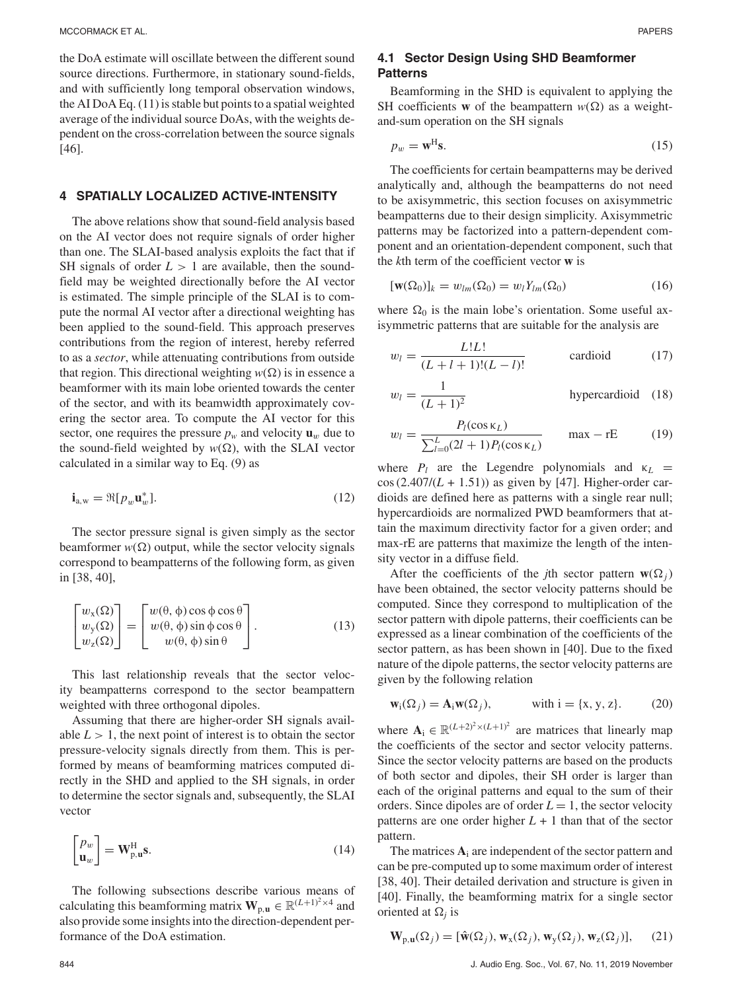the DoA estimate will oscillate between the different sound source directions. Furthermore, in stationary sound-fields, and with sufficiently long temporal observation windows, the AI DoA Eq. (11) is stable but points to a spatial weighted average of the individual source DoAs, with the weights dependent on the cross-correlation between the source signals [46].

## **4 SPATIALLY LOCALIZED ACTIVE-INTENSITY**

The above relations show that sound-field analysis based on the AI vector does not require signals of order higher than one. The SLAI-based analysis exploits the fact that if SH signals of order  $L > 1$  are available, then the soundfield may be weighted directionally before the AI vector is estimated. The simple principle of the SLAI is to compute the normal AI vector after a directional weighting has been applied to the sound-field. This approach preserves contributions from the region of interest, hereby referred to as a *sector*, while attenuating contributions from outside that region. This directional weighting  $w(\Omega)$  is in essence a beamformer with its main lobe oriented towards the center of the sector, and with its beamwidth approximately covering the sector area. To compute the AI vector for this sector, one requires the pressure  $p_w$  and velocity  $\mathbf{u}_w$  due to the sound-field weighted by  $w(\Omega)$ , with the SLAI vector calculated in a similar way to Eq. (9) as

$$
\mathbf{i}_{a,w} = \Re[p_w \mathbf{u}_w^*]. \tag{12}
$$

The sector pressure signal is given simply as the sector beamformer  $w(\Omega)$  output, while the sector velocity signals correspond to beampatterns of the following form, as given in [38, 40],

$$
\begin{bmatrix} w_x(\Omega) \\ w_y(\Omega) \\ w_z(\Omega) \end{bmatrix} = \begin{bmatrix} w(\theta, \phi) \cos \phi \cos \theta \\ w(\theta, \phi) \sin \phi \cos \theta \\ w(\theta, \phi) \sin \theta \end{bmatrix}.
$$
 (13)

This last relationship reveals that the sector velocity beampatterns correspond to the sector beampattern weighted with three orthogonal dipoles.

Assuming that there are higher-order SH signals available  $L > 1$ , the next point of interest is to obtain the sector pressure-velocity signals directly from them. This is performed by means of beamforming matrices computed directly in the SHD and applied to the SH signals, in order to determine the sector signals and, subsequently, the SLAI vector

$$
\begin{bmatrix} p_w \\ \mathbf{u}_w \end{bmatrix} = \mathbf{W}_{p,\mathbf{u}}^{\mathrm{H}} \mathbf{s}.\tag{14}
$$

The following subsections describe various means of calculating this beamforming matrix  $W_{p,u} \in \mathbb{R}^{(L+1)^2 \times 4}$  and also provide some insights into the direction-dependent performance of the DoA estimation.

## **4.1 Sector Design Using SHD Beamformer Patterns**

Beamforming in the SHD is equivalent to applying the SH coefficients **w** of the beampattern  $w(\Omega)$  as a weightand-sum operation on the SH signals

$$
p_w = \mathbf{w}^{\mathrm{H}} \mathbf{s}.\tag{15}
$$

The coefficients for certain beampatterns may be derived analytically and, although the beampatterns do not need to be axisymmetric, this section focuses on axisymmetric beampatterns due to their design simplicity. Axisymmetric patterns may be factorized into a pattern-dependent component and an orientation-dependent component, such that the *k*th term of the coefficient vector **w** is

$$
[\mathbf{w}(\Omega_0)]_k = w_{lm}(\Omega_0) = w_l Y_{lm}(\Omega_0)
$$
\n(16)

where  $\Omega_0$  is the main lobe's orientation. Some useful axisymmetric patterns that are suitable for the analysis are

$$
w_l = \frac{L!L!}{(L+l+1)!(L-l)!}
$$
cardioid (17)

$$
w_l = \frac{1}{(L+1)^2}
$$
 hypercardioid (18)

$$
w_l = \frac{P_l(\cos \kappa_L)}{\sum_{l=0}^{L} (2l+1) P_l(\cos \kappa_L)} \quad \text{max} - r\text{E}
$$
 (19)

where  $P_l$  are the Legendre polynomials and  $\kappa_L$  =  $\cos(2.407/(L + 1.51))$  as given by [47]. Higher-order cardioids are defined here as patterns with a single rear null; hypercardioids are normalized PWD beamformers that attain the maximum directivity factor for a given order; and max-rE are patterns that maximize the length of the intensity vector in a diffuse field.

After the coefficients of the *j*th sector pattern  $w(\Omega_j)$ have been obtained, the sector velocity patterns should be computed. Since they correspond to multiplication of the sector pattern with dipole patterns, their coefficients can be expressed as a linear combination of the coefficients of the sector pattern, as has been shown in [40]. Due to the fixed nature of the dipole patterns, the sector velocity patterns are given by the following relation

$$
\mathbf{w}_i(\Omega_j) = \mathbf{A}_i \mathbf{w}(\Omega_j), \qquad \text{with } i = \{x, y, z\}. \tag{20}
$$

where  $A_i \in \mathbb{R}^{(L+2)^2 \times (L+1)^2}$  are matrices that linearly map the coefficients of the sector and sector velocity patterns. Since the sector velocity patterns are based on the products of both sector and dipoles, their SH order is larger than each of the original patterns and equal to the sum of their orders. Since dipoles are of order  $L = 1$ , the sector velocity patterns are one order higher  $L + 1$  than that of the sector pattern.

The matrices  $A_i$  are independent of the sector pattern and can be pre-computed up to some maximum order of interest [38, 40]. Their detailed derivation and structure is given in [40]. Finally, the beamforming matrix for a single sector oriented at  $\Omega_j$  is

$$
\mathbf{W}_{p,u}(\Omega_j) = [\hat{\mathbf{w}}(\Omega_j), \mathbf{w}_x(\Omega_j), \mathbf{w}_y(\Omega_j), \mathbf{w}_z(\Omega_j)],
$$
 (21)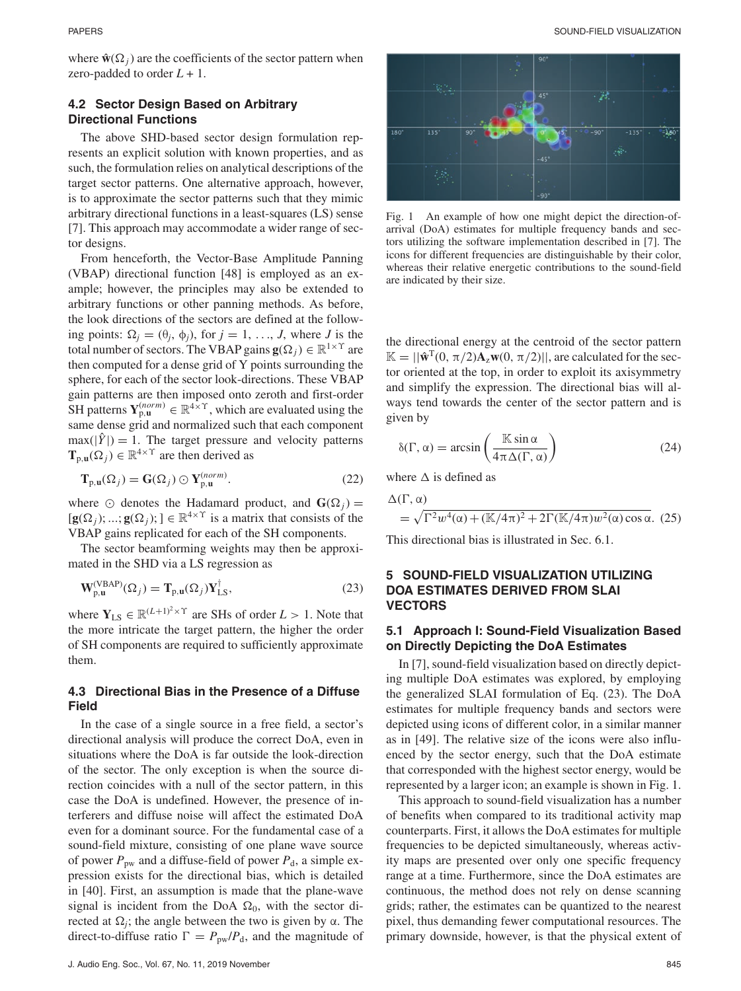# **4.2 Sector Design Based on Arbitrary Directional Functions**

The above SHD-based sector design formulation represents an explicit solution with known properties, and as such, the formulation relies on analytical descriptions of the target sector patterns. One alternative approach, however, is to approximate the sector patterns such that they mimic arbitrary directional functions in a least-squares (LS) sense [7]. This approach may accommodate a wider range of sector designs.

From henceforth, the Vector-Base Amplitude Panning (VBAP) directional function [48] is employed as an example; however, the principles may also be extended to arbitrary functions or other panning methods. As before, the look directions of the sectors are defined at the following points:  $\Omega_j = (\theta_j, \phi_j)$ , for  $j = 1, \ldots, J$ , where *J* is the total number of sectors. The VBAP gains  $\mathbf{g}(\Omega_j) \in \mathbb{R}^{1 \times \Upsilon}$  are then computed for a dense grid of Y points surrounding the sphere, for each of the sector look-directions. These VBAP gain patterns are then imposed onto zeroth and first-order SH patterns  $Y_{p,u}^{(norm)} \in \mathbb{R}^{4 \times \Upsilon}$ , which are evaluated using the same dense grid and normalized such that each component  $max(|\hat{Y}|) = 1$ . The target pressure and velocity patterns  $\mathbf{T}_{p,\mathbf{u}}(\Omega_j) \in \mathbb{R}^{4 \times \Upsilon}$  are then derived as

$$
\mathbf{T}_{p,\mathbf{u}}(\Omega_j) = \mathbf{G}(\Omega_j) \odot \mathbf{Y}_{p,\mathbf{u}}^{(norm)}.
$$
 (22)

where  $\odot$  denotes the Hadamard product, and  $\mathbf{G}(\Omega_j) =$  $[g(\Omega_j);...; g(\Omega_j);] \in \mathbb{R}^{4 \times \Upsilon}$  is a matrix that consists of the VBAP gains replicated for each of the SH components.

The sector beamforming weights may then be approximated in the SHD via a LS regression as

$$
\mathbf{W}_{p,\mathbf{u}}^{(\text{VBAP})}(\Omega_j) = \mathbf{T}_{p,\mathbf{u}}(\Omega_j) \mathbf{Y}_{\text{LS}}^{\dagger},\tag{23}
$$

where  $Y_{LS} \in \mathbb{R}^{(L+1)^2 \times \Upsilon}$  are SHs of order  $L > 1$ . Note that the more intricate the target pattern, the higher the order of SH components are required to sufficiently approximate them.

## **4.3 Directional Bias in the Presence of a Diffuse Field**

In the case of a single source in a free field, a sector's directional analysis will produce the correct DoA, even in situations where the DoA is far outside the look-direction of the sector. The only exception is when the source direction coincides with a null of the sector pattern, in this case the DoA is undefined. However, the presence of interferers and diffuse noise will affect the estimated DoA even for a dominant source. For the fundamental case of a sound-field mixture, consisting of one plane wave source of power  $P_{\text{pw}}$  and a diffuse-field of power  $P_{\text{d}}$ , a simple expression exists for the directional bias, which is detailed in [40]. First, an assumption is made that the plane-wave signal is incident from the DoA  $\Omega_0$ , with the sector directed at  $\Omega_j$ ; the angle between the two is given by α. The direct-to-diffuse ratio  $\Gamma = P_{\text{pw}}/P_d$ , and the magnitude of



Fig. 1 An example of how one might depict the direction-ofarrival (DoA) estimates for multiple frequency bands and sectors utilizing the software implementation described in [7]. The icons for different frequencies are distinguishable by their color, whereas their relative energetic contributions to the sound-field are indicated by their size.

the directional energy at the centroid of the sector pattern  $\mathbb{K} = ||\hat{\mathbf{w}}^{\mathrm{T}}(0, \pi/2)\mathbf{A}_z\mathbf{w}(0, \pi/2)||$ , are calculated for the sector oriented at the top, in order to exploit its axisymmetry and simplify the expression. The directional bias will always tend towards the center of the sector pattern and is given by

$$
\delta(\Gamma, \alpha) = \arcsin\left(\frac{\mathbb{K}\sin\alpha}{4\pi\Delta(\Gamma, \alpha)}\right)
$$
 (24)

where  $\Delta$  is defined as

$$
\Delta(\Gamma, \alpha) = \sqrt{\Gamma^2 w^4(\alpha) + (\mathbb{K}/4\pi)^2 + 2\Gamma(\mathbb{K}/4\pi)w^2(\alpha)\cos\alpha}.
$$
 (25)

This directional bias is illustrated in Sec. 6.1.

## **5 SOUND-FIELD VISUALIZATION UTILIZING DOA ESTIMATES DERIVED FROM SLAI VECTORS**

## **5.1 Approach I: Sound-Field Visualization Based on Directly Depicting the DoA Estimates**

In [7], sound-field visualization based on directly depicting multiple DoA estimates was explored, by employing the generalized SLAI formulation of Eq. (23). The DoA estimates for multiple frequency bands and sectors were depicted using icons of different color, in a similar manner as in [49]. The relative size of the icons were also influenced by the sector energy, such that the DoA estimate that corresponded with the highest sector energy, would be represented by a larger icon; an example is shown in Fig. 1.

This approach to sound-field visualization has a number of benefits when compared to its traditional activity map counterparts. First, it allows the DoA estimates for multiple frequencies to be depicted simultaneously, whereas activity maps are presented over only one specific frequency range at a time. Furthermore, since the DoA estimates are continuous, the method does not rely on dense scanning grids; rather, the estimates can be quantized to the nearest pixel, thus demanding fewer computational resources. The primary downside, however, is that the physical extent of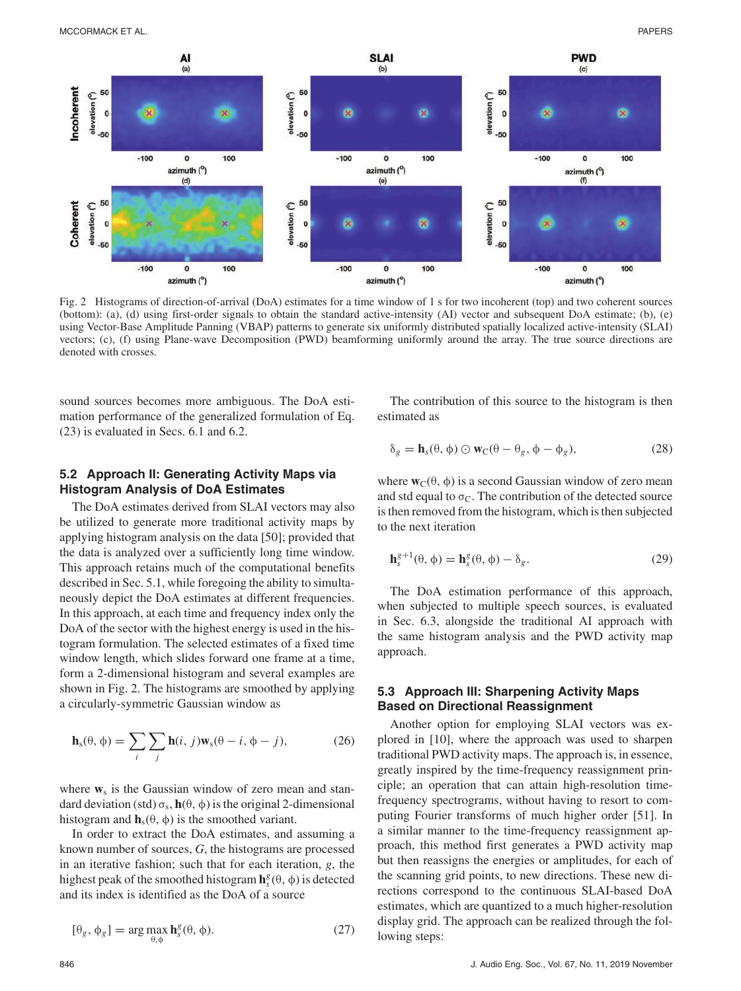

Fig. 2 Histograms of direction-of-arrival (DoA) estimates for a time window of 1 s for two incoherent (top) and two coherent sources (bottom): (a), (d) using first-order signals to obtain the standard active-intensity (AI) vector and subsequent DoA estimate; (b), (e) using Vector-Base Amplitude Panning (VBAP) patterns to generate six uniformly distributed spatially localized active-intensity (SLAI) vectors; (c), (f) using Plane-wave Decomposition (PWD) beamforming uniformly around the array. The true source directions are denoted with crosses.

sound sources becomes more ambiguous. The DoA estimation performance of the generalized formulation of Eq. (23) is evaluated in Secs. 6.1 and 6.2.

## **5.2 Approach II: Generating Activity Maps via Histogram Analysis of DoA Estimates**

The DoA estimates derived from SLAI vectors may also be utilized to generate more traditional activity maps by applying histogram analysis on the data [50]; provided that the data is analyzed over a sufficiently long time window. This approach retains much of the computational benefits described in Sec. 5.1, while foregoing the ability to simultaneously depict the DoA estimates at different frequencies. In this approach, at each time and frequency index only the DoA of the sector with the highest energy is used in the histogram formulation. The selected estimates of a fixed time window length, which slides forward one frame at a time, form a 2-dimensional histogram and several examples are shown in Fig. 2. The histograms are smoothed by applying a circularly-symmetric Gaussian window as

$$
\mathbf{h}_{s}(\theta,\phi) = \sum_{i} \sum_{j} \mathbf{h}(i,j)\mathbf{w}_{s}(\theta - i, \phi - j), \tag{26}
$$

where  $w_s$  is the Gaussian window of zero mean and standard deviation (std)  $\sigma_s$ , **h**( $\theta$ ,  $\phi$ ) is the original 2-dimensional histogram and  $h_s(\theta, \phi)$  is the smoothed variant.

In order to extract the DoA estimates, and assuming a known number of sources, *G*, the histograms are processed in an iterative fashion; such that for each iteration, *g*, the highest peak of the smoothed histogram  $\mathbf{h}^g$ <sub>*s*</sub>( $\theta$ ,  $\phi$ ) is detected and its index is identified as the DoA of a source

$$
[\theta_g, \phi_g] = \arg \max_{\theta, \phi} \mathbf{h}_s^g(\theta, \phi).
$$
 (27)

The contribution of this source to the histogram is then estimated as

$$
\delta_g = \mathbf{h}_s(\theta, \phi) \odot \mathbf{w}_C(\theta - \theta_g, \phi - \phi_g), \tag{28}
$$

where  $w_C(\theta, \phi)$  is a second Gaussian window of zero mean and std equal to  $\sigma_C$ . The contribution of the detected source is then removed from the histogram, which is then subjected to the next iteration

$$
\mathbf{h}_s^{g+1}(\theta, \phi) = \mathbf{h}_s^g(\theta, \phi) - \delta_g.
$$
 (29)

The DoA estimation performance of this approach, when subjected to multiple speech sources, is evaluated in Sec. 6.3, alongside the traditional AI approach with the same histogram analysis and the PWD activity map approach.

## **5.3 Approach III: Sharpening Activity Maps Based on Directional Reassignment**

Another option for employing SLAI vectors was explored in [10], where the approach was used to sharpen traditional PWD activity maps. The approach is, in essence, greatly inspired by the time-frequency reassignment principle; an operation that can attain high-resolution timefrequency spectrograms, without having to resort to computing Fourier transforms of much higher order [51]. In a similar manner to the time-frequency reassignment approach, this method first generates a PWD activity map but then reassigns the energies or amplitudes, for each of the scanning grid points, to new directions. These new directions correspond to the continuous SLAI-based DoA estimates, which are quantized to a much higher-resolution display grid. The approach can be realized through the following steps: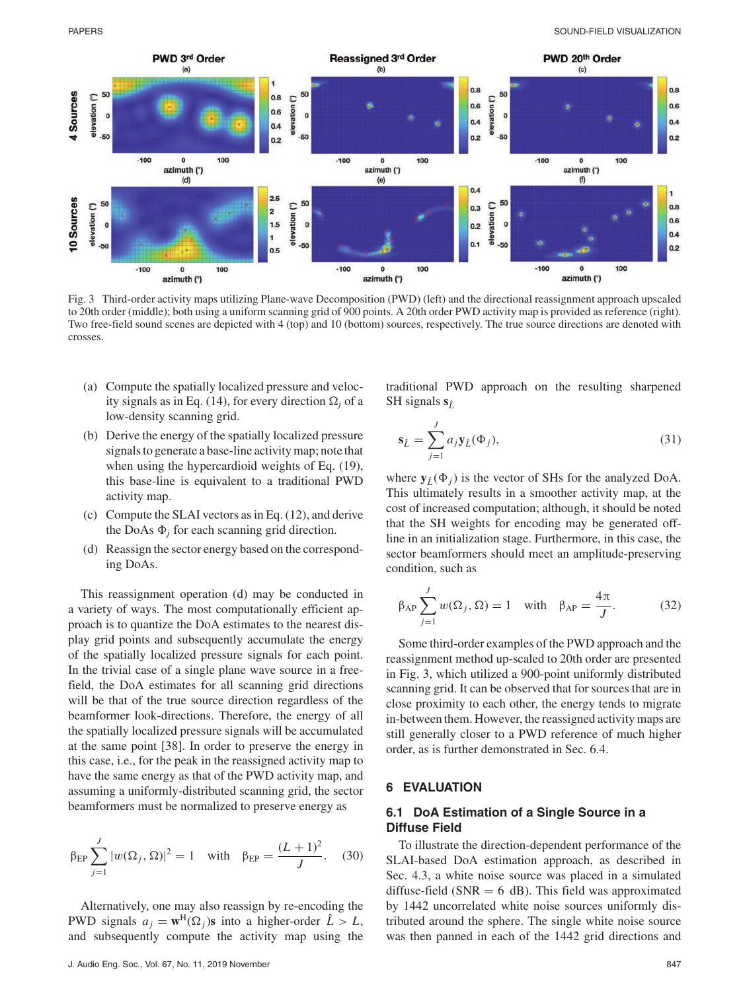

Fig. 3 Third-order activity maps utilizing Plane-wave Decomposition (PWD) (left) and the directional reassignment approach upscaled to 20th order (middle); both using a uniform scanning grid of 900 points. A 20th order PWD activity map is provided as reference (right). Two free-field sound scenes are depicted with 4 (top) and 10 (bottom) sources, respectively. The true source directions are denoted with crosses.

- (a) Compute the spatially localized pressure and velocity signals as in Eq. (14), for every direction  $\Omega_j$  of a low-density scanning grid.
- (b) Derive the energy of the spatially localized pressure signals to generate a base-line activity map; note that when using the hypercardioid weights of Eq. (19), this base-line is equivalent to a traditional PWD activity map.
- (c) Compute the SLAI vectors as in Eq. (12), and derive the DoAs  $\Phi_i$  for each scanning grid direction.
- (d) Reassign the sector energy based on the corresponding DoAs.

This reassignment operation (d) may be conducted in a variety of ways. The most computationally efficient approach is to quantize the DoA estimates to the nearest display grid points and subsequently accumulate the energy of the spatially localized pressure signals for each point. In the trivial case of a single plane wave source in a freefield, the DoA estimates for all scanning grid directions will be that of the true source direction regardless of the beamformer look-directions. Therefore, the energy of all the spatially localized pressure signals will be accumulated at the same point [38]. In order to preserve the energy in this case, i.e., for the peak in the reassigned activity map to have the same energy as that of the PWD activity map, and assuming a uniformly-distributed scanning grid, the sector beamformers must be normalized to preserve energy as

$$
\beta_{EP} \sum_{j=1}^{J} |w(\Omega_j, \Omega)|^2 = 1
$$
 with  $\beta_{EP} = \frac{(L+1)^2}{J}$ . (30)

Alternatively, one may also reassign by re-encoding the PWD signals  $a_j = \mathbf{w}^{\text{H}}(\Omega_j)$ s into a higher-order  $\hat{L} > L$ , and subsequently compute the activity map using the traditional PWD approach on the resulting sharpened SH signals  $s_f$ 

$$
\mathbf{s}_{\hat{L}} = \sum_{j=1}^{J} a_j \mathbf{y}_{\hat{L}}(\Phi_j),\tag{31}
$$

where  $\mathbf{y}_i(\Phi_i)$  is the vector of SHs for the analyzed DoA. This ultimately results in a smoother activity map, at the cost of increased computation; although, it should be noted that the SH weights for encoding may be generated offline in an initialization stage. Furthermore, in this case, the sector beamformers should meet an amplitude-preserving condition, such as

$$
\beta_{AP} \sum_{j=1}^{J} w(\Omega_j, \Omega) = 1 \quad \text{with} \quad \beta_{AP} = \frac{4\pi}{J}.
$$
 (32)

Some third-order examples of the PWD approach and the reassignment method up-scaled to 20th order are presented in Fig. 3, which utilized a 900-point uniformly distributed scanning grid. It can be observed that for sources that are in close proximity to each other, the energy tends to migrate in-between them. However, the reassigned activity maps are still generally closer to a PWD reference of much higher order, as is further demonstrated in Sec. 6.4.

## **6 EVALUATION**

## **6.1 DoA Estimation of a Single Source in a Diffuse Field**

To illustrate the direction-dependent performance of the SLAI-based DoA estimation approach, as described in Sec. 4.3, a white noise source was placed in a simulated diffuse-field ( $SNR = 6$  dB). This field was approximated by 1442 uncorrelated white noise sources uniformly distributed around the sphere. The single white noise source was then panned in each of the 1442 grid directions and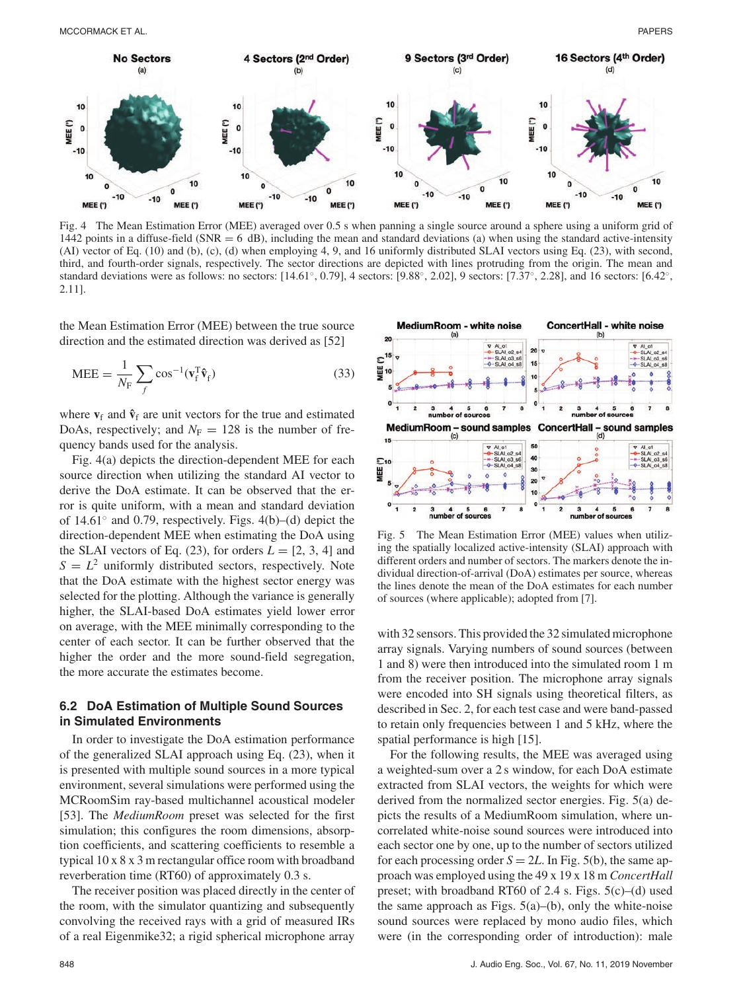

Fig. 4 The Mean Estimation Error (MEE) averaged over 0.5 s when panning a single source around a sphere using a uniform grid of 1442 points in a diffuse-field (SNR  $= 6$  dB), including the mean and standard deviations (a) when using the standard active-intensity (AI) vector of Eq. (10) and (b), (c), (d) when employing 4, 9, and 16 uniformly distributed SLAI vectors using Eq. (23), with second, third, and fourth-order signals, respectively. The sector directions are depicted with lines protruding from the origin. The mean and standard deviations were as follows: no sectors: [14.61◦, 0.79], 4 sectors: [9.88◦, 2.02], 9 sectors: [7.37◦, 2.28], and 16 sectors: [6.42◦, 2.11].

the Mean Estimation Error (MEE) between the true source direction and the estimated direction was derived as [52]

$$
\text{MEE} = \frac{1}{N_{\text{F}}} \sum_{f} \cos^{-1}(\mathbf{v}_{\text{f}}^{\text{T}} \hat{\mathbf{v}}_{\text{f}})
$$
(33)

where  $\mathbf{v}_f$  and  $\hat{\mathbf{v}}_f$  are unit vectors for the true and estimated DoAs, respectively; and  $N_F = 128$  is the number of frequency bands used for the analysis.

Fig. 4(a) depicts the direction-dependent MEE for each source direction when utilizing the standard AI vector to derive the DoA estimate. It can be observed that the error is quite uniform, with a mean and standard deviation of 14.61◦ and 0.79, respectively. Figs. 4(b)–(d) depict the direction-dependent MEE when estimating the DoA using the SLAI vectors of Eq.  $(23)$ , for orders  $L = [2, 3, 4]$  and  $S = L<sup>2</sup>$  uniformly distributed sectors, respectively. Note that the DoA estimate with the highest sector energy was selected for the plotting. Although the variance is generally higher, the SLAI-based DoA estimates yield lower error on average, with the MEE minimally corresponding to the center of each sector. It can be further observed that the higher the order and the more sound-field segregation, the more accurate the estimates become.

## **6.2 DoA Estimation of Multiple Sound Sources in Simulated Environments**

In order to investigate the DoA estimation performance of the generalized SLAI approach using Eq. (23), when it is presented with multiple sound sources in a more typical environment, several simulations were performed using the MCRoomSim ray-based multichannel acoustical modeler [53]. The *MediumRoom* preset was selected for the first simulation; this configures the room dimensions, absorption coefficients, and scattering coefficients to resemble a typical 10 x 8 x 3 m rectangular office room with broadband reverberation time (RT60) of approximately 0.3 s.

The receiver position was placed directly in the center of the room, with the simulator quantizing and subsequently convolving the received rays with a grid of measured IRs of a real Eigenmike32; a rigid spherical microphone array



Fig. 5 The Mean Estimation Error (MEE) values when utilizing the spatially localized active-intensity (SLAI) approach with different orders and number of sectors. The markers denote the individual direction-of-arrival (DoA) estimates per source, whereas the lines denote the mean of the DoA estimates for each number of sources (where applicable); adopted from [7].

with 32 sensors. This provided the 32 simulated microphone array signals. Varying numbers of sound sources (between 1 and 8) were then introduced into the simulated room 1 m from the receiver position. The microphone array signals were encoded into SH signals using theoretical filters, as described in Sec. 2, for each test case and were band-passed to retain only frequencies between 1 and 5 kHz, where the spatial performance is high [15].

For the following results, the MEE was averaged using a weighted-sum over a 2 s window, for each DoA estimate extracted from SLAI vectors, the weights for which were derived from the normalized sector energies. Fig. 5(a) depicts the results of a MediumRoom simulation, where uncorrelated white-noise sound sources were introduced into each sector one by one, up to the number of sectors utilized for each processing order  $S = 2L$ . In Fig. 5(b), the same approach was employed using the 49 x 19 x 18 m *ConcertHall* preset; with broadband RT60 of 2.4 s. Figs. 5(c)–(d) used the same approach as Figs.  $5(a)$ –(b), only the white-noise sound sources were replaced by mono audio files, which were (in the corresponding order of introduction): male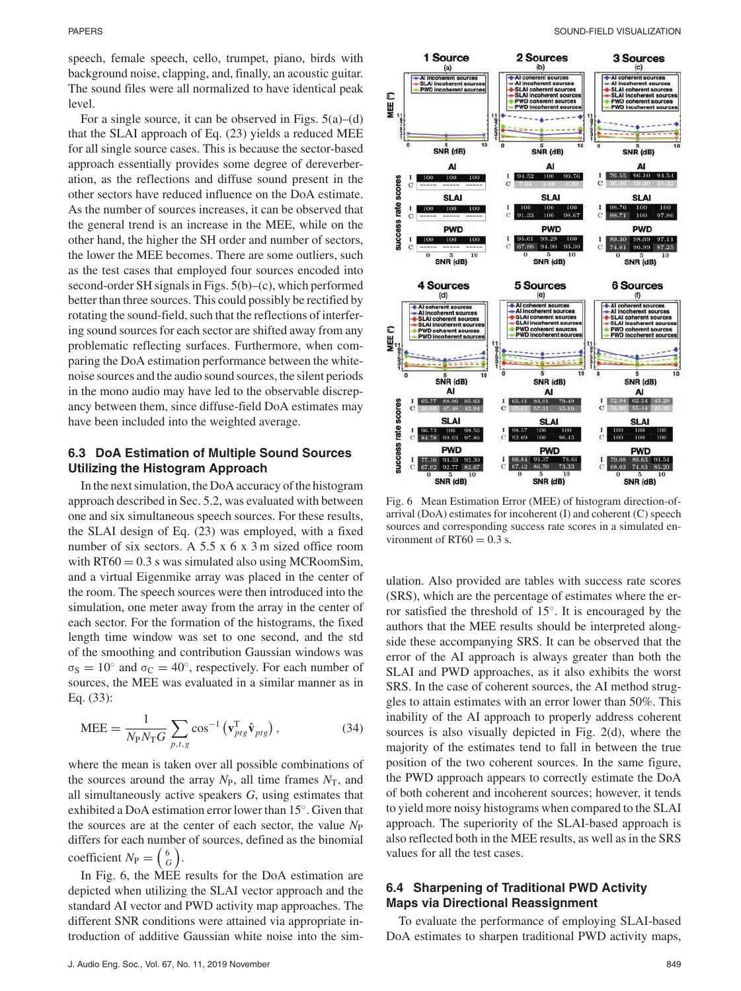speech, female speech, cello, trumpet, piano, birds with background noise, clapping, and, finally, an acoustic guitar. The sound files were all normalized to have identical peak level.

For a single source, it can be observed in Figs.  $5(a)$ – $(d)$ that the SLAI approach of Eq. (23) yields a reduced MEE for all single source cases. This is because the sector-based approach essentially provides some degree of dereverberation, as the reflections and diffuse sound present in the other sectors have reduced influence on the DoA estimate. As the number of sources increases, it can be observed that the general trend is an increase in the MEE, while on the other hand, the higher the SH order and number of sectors, the lower the MEE becomes. There are some outliers, such as the test cases that employed four sources encoded into second-order SH signals in Figs. 5(b)–(c), which performed better than three sources. This could possibly be rectified by rotating the sound-field, such that the reflections of interfering sound sources for each sector are shifted away from any problematic reflecting surfaces. Furthermore, when comparing the DoA estimation performance between the whitenoise sources and the audio sound sources, the silent periods in the mono audio may have led to the observable discrepancy between them, since diffuse-field DoA estimates may have been included into the weighted average.

## **6.3 DoA Estimation of Multiple Sound Sources Utilizing the Histogram Approach**

In the next simulation, the DoA accuracy of the histogram approach described in Sec. 5.2, was evaluated with between one and six simultaneous speech sources. For these results, the SLAI design of Eq. (23) was employed, with a fixed number of six sectors. A 5.5 x 6 x 3 m sized office room with  $RT60 = 0.3$  s was simulated also using MCRoomSim, and a virtual Eigenmike array was placed in the center of the room. The speech sources were then introduced into the simulation, one meter away from the array in the center of each sector. For the formation of the histograms, the fixed length time window was set to one second, and the std of the smoothing and contribution Gaussian windows was  $\sigma_S = 10^\circ$  and  $\sigma_C = 40^\circ$ , respectively. For each number of sources, the MEE was evaluated in a similar manner as in Eq. (33):

$$
\text{MEE} = \frac{1}{N_P N_{\text{T}} G} \sum_{p, t, g} \cos^{-1} \left( \mathbf{v}_{ptg}^{\text{T}} \hat{\mathbf{v}}_{ptg} \right), \tag{34}
$$

where the mean is taken over all possible combinations of the sources around the array  $N_{\rm P}$ , all time frames  $N_{\rm T}$ , and all simultaneously active speakers *G*, using estimates that exhibited a DoA estimation error lower than 15◦. Given that the sources are at the center of each sector, the value  $N_P$ differs for each number of sources, defined as the binomial coefficient  $N_P = \begin{pmatrix} 6 \\ G \end{pmatrix}$ .

In Fig. 6, the MEE results for the DoA estimation are depicted when utilizing the SLAI vector approach and the standard AI vector and PWD activity map approaches. The different SNR conditions were attained via appropriate introduction of additive Gaussian white noise into the sim-



Fig. 6 Mean Estimation Error (MEE) of histogram direction-ofarrival (DoA) estimates for incoherent (I) and coherent (C) speech sources and corresponding success rate scores in a simulated environment of  $RT60 = 0.3$  s.

ulation. Also provided are tables with success rate scores (SRS), which are the percentage of estimates where the error satisfied the threshold of 15◦. It is encouraged by the authors that the MEE results should be interpreted alongside these accompanying SRS. It can be observed that the error of the AI approach is always greater than both the SLAI and PWD approaches, as it also exhibits the worst SRS. In the case of coherent sources, the AI method struggles to attain estimates with an error lower than 50%. This inability of the AI approach to properly address coherent sources is also visually depicted in Fig. 2(d), where the majority of the estimates tend to fall in between the true position of the two coherent sources. In the same figure, the PWD approach appears to correctly estimate the DoA of both coherent and incoherent sources; however, it tends to yield more noisy histograms when compared to the SLAI approach. The superiority of the SLAI-based approach is also reflected both in the MEE results, as well as in the SRS values for all the test cases.

## **6.4 Sharpening of Traditional PWD Activity Maps via Directional Reassignment**

To evaluate the performance of employing SLAI-based DoA estimates to sharpen traditional PWD activity maps,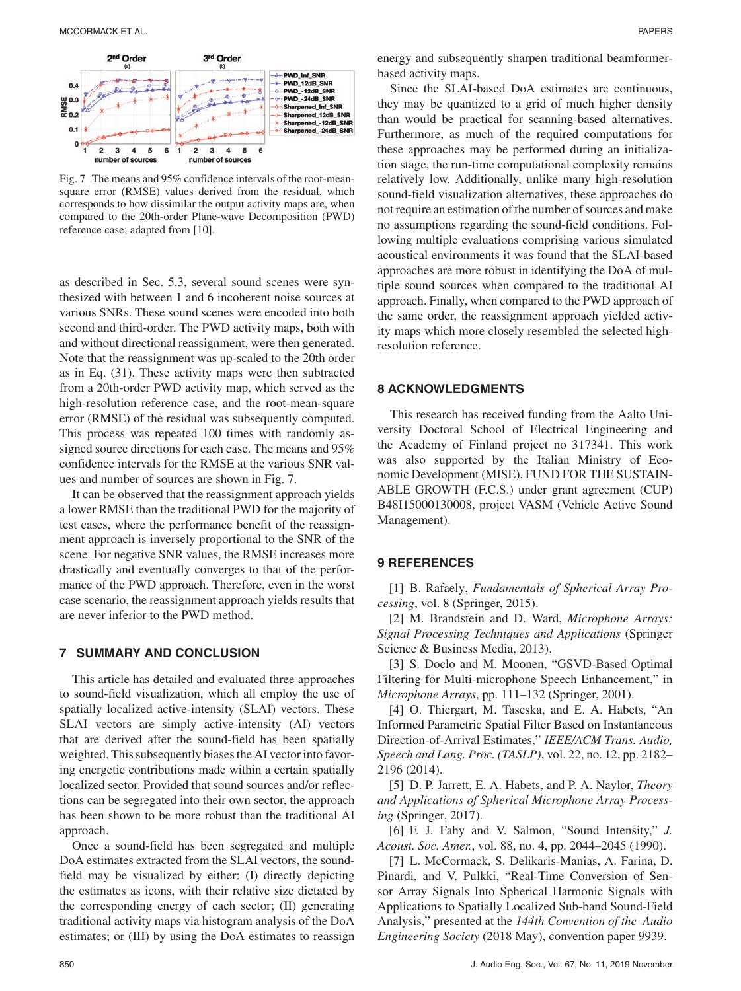

Fig. 7 The means and 95% confidence intervals of the root-meansquare error (RMSE) values derived from the residual, which corresponds to how dissimilar the output activity maps are, when compared to the 20th-order Plane-wave Decomposition (PWD) reference case; adapted from [10].

as described in Sec. 5.3, several sound scenes were synthesized with between 1 and 6 incoherent noise sources at various SNRs. These sound scenes were encoded into both second and third-order. The PWD activity maps, both with and without directional reassignment, were then generated. Note that the reassignment was up-scaled to the 20th order as in Eq. (31). These activity maps were then subtracted from a 20th-order PWD activity map, which served as the high-resolution reference case, and the root-mean-square error (RMSE) of the residual was subsequently computed. This process was repeated 100 times with randomly assigned source directions for each case. The means and 95% confidence intervals for the RMSE at the various SNR values and number of sources are shown in Fig. 7.

It can be observed that the reassignment approach yields a lower RMSE than the traditional PWD for the majority of test cases, where the performance benefit of the reassignment approach is inversely proportional to the SNR of the scene. For negative SNR values, the RMSE increases more drastically and eventually converges to that of the performance of the PWD approach. Therefore, even in the worst case scenario, the reassignment approach yields results that are never inferior to the PWD method.

## **7 SUMMARY AND CONCLUSION**

This article has detailed and evaluated three approaches to sound-field visualization, which all employ the use of spatially localized active-intensity (SLAI) vectors. These SLAI vectors are simply active-intensity (AI) vectors that are derived after the sound-field has been spatially weighted. This subsequently biases the AI vector into favoring energetic contributions made within a certain spatially localized sector. Provided that sound sources and/or reflections can be segregated into their own sector, the approach has been shown to be more robust than the traditional AI approach.

Once a sound-field has been segregated and multiple DoA estimates extracted from the SLAI vectors, the soundfield may be visualized by either: (I) directly depicting the estimates as icons, with their relative size dictated by the corresponding energy of each sector; (II) generating traditional activity maps via histogram analysis of the DoA estimates; or (III) by using the DoA estimates to reassign energy and subsequently sharpen traditional beamformerbased activity maps.

Since the SLAI-based DoA estimates are continuous, they may be quantized to a grid of much higher density than would be practical for scanning-based alternatives. Furthermore, as much of the required computations for these approaches may be performed during an initialization stage, the run-time computational complexity remains relatively low. Additionally, unlike many high-resolution sound-field visualization alternatives, these approaches do not require an estimation of the number of sources and make no assumptions regarding the sound-field conditions. Following multiple evaluations comprising various simulated acoustical environments it was found that the SLAI-based approaches are more robust in identifying the DoA of multiple sound sources when compared to the traditional AI approach. Finally, when compared to the PWD approach of the same order, the reassignment approach yielded activity maps which more closely resembled the selected highresolution reference.

## **8 ACKNOWLEDGMENTS**

This research has received funding from the Aalto University Doctoral School of Electrical Engineering and the Academy of Finland project no 317341. This work was also supported by the Italian Ministry of Economic Development (MISE), FUND FOR THE SUSTAIN-ABLE GROWTH (F.C.S.) under grant agreement (CUP) B48I15000130008, project VASM (Vehicle Active Sound Management).

#### **9 REFERENCES**

[1] B. Rafaely, *Fundamentals of Spherical Array Processing*, vol. 8 (Springer, 2015).

[2] M. Brandstein and D. Ward, *Microphone Arrays: Signal Processing Techniques and Applications* (Springer Science & Business Media, 2013).

[3] S. Doclo and M. Moonen, "GSVD-Based Optimal Filtering for Multi-microphone Speech Enhancement," in *Microphone Arrays*, pp. 111–132 (Springer, 2001).

[4] O. Thiergart, M. Taseska, and E. A. Habets, "An Informed Parametric Spatial Filter Based on Instantaneous Direction-of-Arrival Estimates," *IEEE/ACM Trans. Audio, Speech and Lang. Proc. (TASLP)*, vol. 22, no. 12, pp. 2182– 2196 (2014).

[5] D. P. Jarrett, E. A. Habets, and P. A. Naylor, *Theory and Applications of Spherical Microphone Array Processing* (Springer, 2017).

[6] F. J. Fahy and V. Salmon, "Sound Intensity," *J. Acoust. Soc. Amer.*, vol. 88, no. 4, pp. 2044–2045 (1990).

[7] L. McCormack, S. Delikaris-Manias, A. Farina, D. Pinardi, and V. Pulkki, "Real-Time Conversion of Sensor Array Signals Into Spherical Harmonic Signals with Applications to Spatially Localized Sub-band Sound-Field Analysis," presented at the *144th Convention of the Audio Engineering Society* (2018 May), convention paper 9939.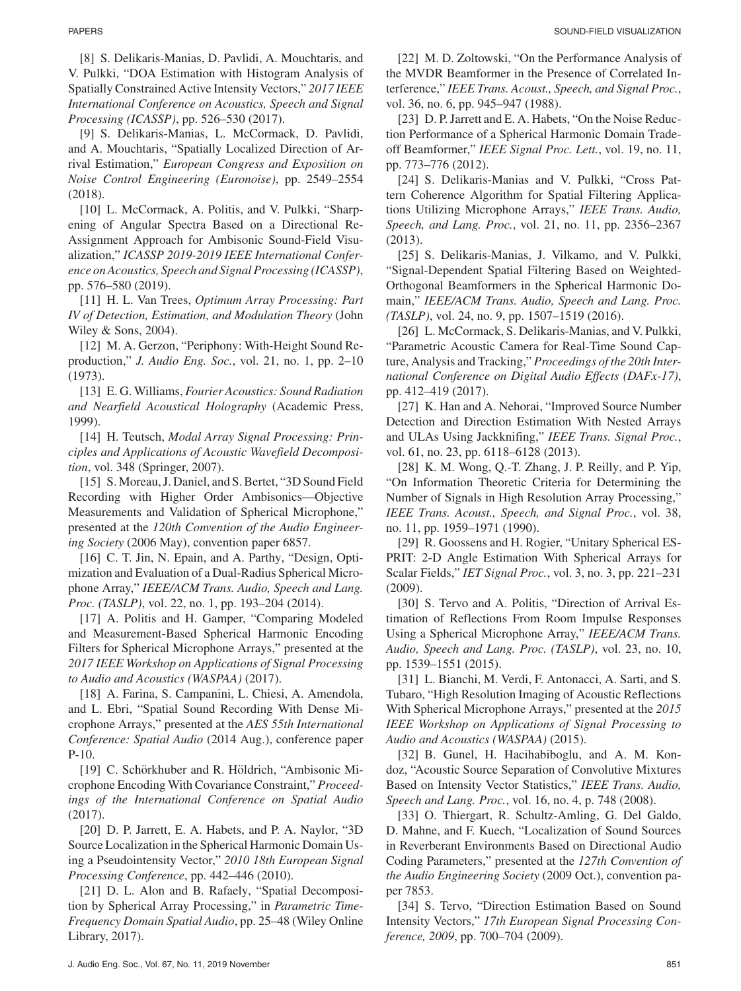[8] S. Delikaris-Manias, D. Pavlidi, A. Mouchtaris, and V. Pulkki, "DOA Estimation with Histogram Analysis of Spatially Constrained Active Intensity Vectors," *2017 IEEE International Conference on Acoustics, Speech and Signal Processing (ICASSP)*, pp. 526–530 (2017).

[9] S. Delikaris-Manias, L. McCormack, D. Pavlidi, and A. Mouchtaris, "Spatially Localized Direction of Arrival Estimation," *European Congress and Exposition on Noise Control Engineering (Euronoise)*, pp. 2549–2554 (2018).

[10] L. McCormack, A. Politis, and V. Pulkki, "Sharpening of Angular Spectra Based on a Directional Re-Assignment Approach for Ambisonic Sound-Field Visualization," *ICASSP 2019-2019 IEEE International Conference on Acoustics, Speech and Signal Processing (ICASSP)*, pp. 576–580 (2019).

[11] H. L. Van Trees, *Optimum Array Processing: Part IV of Detection, Estimation, and Modulation Theory* (John Wiley & Sons, 2004).

[12] M. A. Gerzon, "Periphony: With-Height Sound Reproduction," *J. Audio Eng. Soc.*, vol. 21, no. 1, pp. 2–10 (1973).

[13] E. G. Williams, *Fourier Acoustics: Sound Radiation and Nearfield Acoustical Holography* (Academic Press, 1999).

[14] H. Teutsch, *Modal Array Signal Processing: Principles and Applications of Acoustic Wavefield Decomposition*, vol. 348 (Springer, 2007).

[15] S. Moreau, J. Daniel, and S. Bertet, "3D Sound Field Recording with Higher Order Ambisonics—Objective Measurements and Validation of Spherical Microphone," presented at the *120th Convention of the Audio Engineering Society* (2006 May), convention paper 6857.

[16] C. T. Jin, N. Epain, and A. Parthy, "Design, Optimization and Evaluation of a Dual-Radius Spherical Microphone Array," *IEEE/ACM Trans. Audio, Speech and Lang. Proc. (TASLP)*, vol. 22, no. 1, pp. 193–204 (2014).

[17] A. Politis and H. Gamper, "Comparing Modeled and Measurement-Based Spherical Harmonic Encoding Filters for Spherical Microphone Arrays," presented at the *2017 IEEE Workshop on Applications of Signal Processing to Audio and Acoustics (WASPAA)* (2017).

[18] A. Farina, S. Campanini, L. Chiesi, A. Amendola, and L. Ebri, "Spatial Sound Recording With Dense Microphone Arrays," presented at the *AES 55th International Conference: Spatial Audio* (2014 Aug.), conference paper P-10.

[19] C. Schörkhuber and R. Höldrich, "Ambisonic Microphone Encoding With Covariance Constraint," *Proceedings of the International Conference on Spatial Audio* (2017).

[20] D. P. Jarrett, E. A. Habets, and P. A. Naylor, "3D Source Localization in the Spherical Harmonic Domain Using a Pseudointensity Vector," *2010 18th European Signal Processing Conference*, pp. 442–446 (2010).

[21] D. L. Alon and B. Rafaely, "Spatial Decomposition by Spherical Array Processing," in *Parametric Time-Frequency Domain Spatial Audio*, pp. 25–48 (Wiley Online Library, 2017).

[22] M. D. Zoltowski, "On the Performance Analysis of the MVDR Beamformer in the Presence of Correlated Interference," *IEEE Trans. Acoust., Speech, and Signal Proc.*, vol. 36, no. 6, pp. 945–947 (1988).

[23] D. P. Jarrett and E. A. Habets, "On the Noise Reduction Performance of a Spherical Harmonic Domain Tradeoff Beamformer," *IEEE Signal Proc. Lett.*, vol. 19, no. 11, pp. 773–776 (2012).

[24] S. Delikaris-Manias and V. Pulkki, "Cross Pattern Coherence Algorithm for Spatial Filtering Applications Utilizing Microphone Arrays," *IEEE Trans. Audio, Speech, and Lang. Proc.*, vol. 21, no. 11, pp. 2356–2367 (2013).

[25] S. Delikaris-Manias, J. Vilkamo, and V. Pulkki, "Signal-Dependent Spatial Filtering Based on Weighted-Orthogonal Beamformers in the Spherical Harmonic Domain," *IEEE/ACM Trans. Audio, Speech and Lang. Proc. (TASLP)*, vol. 24, no. 9, pp. 1507–1519 (2016).

[26] L. McCormack, S. Delikaris-Manias, and V. Pulkki, "Parametric Acoustic Camera for Real-Time Sound Capture, Analysis and Tracking," *Proceedings of the 20th International Conference on Digital Audio Effects (DAFx-17)*, pp. 412–419 (2017).

[27] K. Han and A. Nehorai, "Improved Source Number Detection and Direction Estimation With Nested Arrays and ULAs Using Jackknifing," *IEEE Trans. Signal Proc.*, vol. 61, no. 23, pp. 6118–6128 (2013).

[28] K. M. Wong, Q.-T. Zhang, J. P. Reilly, and P. Yip, "On Information Theoretic Criteria for Determining the Number of Signals in High Resolution Array Processing," *IEEE Trans. Acoust., Speech, and Signal Proc.*, vol. 38, no. 11, pp. 1959–1971 (1990).

[29] R. Goossens and H. Rogier, "Unitary Spherical ES-PRIT: 2-D Angle Estimation With Spherical Arrays for Scalar Fields," *IET Signal Proc.*, vol. 3, no. 3, pp. 221–231 (2009).

[30] S. Tervo and A. Politis, "Direction of Arrival Estimation of Reflections From Room Impulse Responses Using a Spherical Microphone Array," *IEEE/ACM Trans. Audio, Speech and Lang. Proc. (TASLP)*, vol. 23, no. 10, pp. 1539–1551 (2015).

[31] L. Bianchi, M. Verdi, F. Antonacci, A. Sarti, and S. Tubaro, "High Resolution Imaging of Acoustic Reflections With Spherical Microphone Arrays," presented at the *2015 IEEE Workshop on Applications of Signal Processing to Audio and Acoustics (WASPAA)* (2015).

[32] B. Gunel, H. Hacihabiboglu, and A. M. Kondoz, "Acoustic Source Separation of Convolutive Mixtures Based on Intensity Vector Statistics," *IEEE Trans. Audio, Speech and Lang. Proc.*, vol. 16, no. 4, p. 748 (2008).

[33] O. Thiergart, R. Schultz-Amling, G. Del Galdo, D. Mahne, and F. Kuech, "Localization of Sound Sources in Reverberant Environments Based on Directional Audio Coding Parameters," presented at the *127th Convention of the Audio Engineering Society* (2009 Oct.), convention paper 7853.

[34] S. Tervo, "Direction Estimation Based on Sound Intensity Vectors," *17th European Signal Processing Conference, 2009*, pp. 700–704 (2009).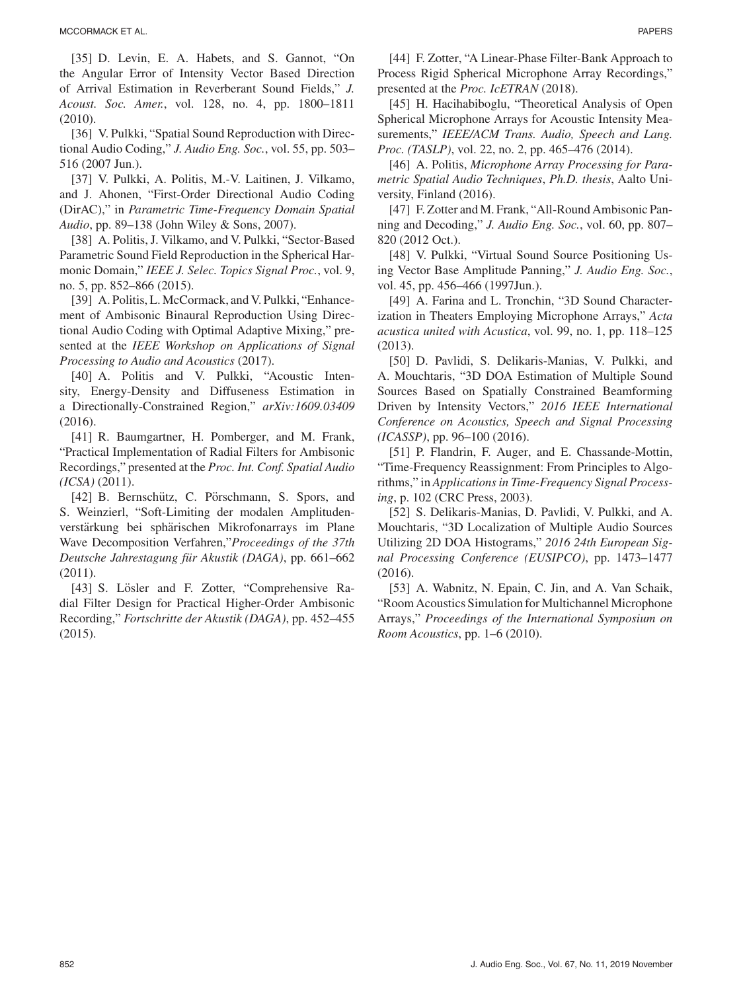[35] D. Levin, E. A. Habets, and S. Gannot, "On the Angular Error of Intensity Vector Based Direction of Arrival Estimation in Reverberant Sound Fields," *J. Acoust. Soc. Amer.*, vol. 128, no. 4, pp. 1800–1811 (2010).

[36] V. Pulkki, "Spatial Sound Reproduction with Directional Audio Coding," *J. Audio Eng. Soc.*, vol. 55, pp. 503– 516 (2007 Jun.).

[37] V. Pulkki, A. Politis, M.-V. Laitinen, J. Vilkamo, and J. Ahonen, "First-Order Directional Audio Coding (DirAC)," in *Parametric Time-Frequency Domain Spatial Audio*, pp. 89–138 (John Wiley & Sons, 2007).

[38] A. Politis, J. Vilkamo, and V. Pulkki, "Sector-Based Parametric Sound Field Reproduction in the Spherical Harmonic Domain," *IEEE J. Selec. Topics Signal Proc.*, vol. 9, no. 5, pp. 852–866 (2015).

[39] A. Politis, L. McCormack, and V. Pulkki, "Enhancement of Ambisonic Binaural Reproduction Using Directional Audio Coding with Optimal Adaptive Mixing," presented at the *IEEE Workshop on Applications of Signal Processing to Audio and Acoustics* (2017).

[40] A. Politis and V. Pulkki, "Acoustic Intensity, Energy-Density and Diffuseness Estimation in a Directionally-Constrained Region," *arXiv:1609.03409* (2016).

[41] R. Baumgartner, H. Pomberger, and M. Frank, "Practical Implementation of Radial Filters for Ambisonic Recordings," presented at the *Proc. Int. Conf. Spatial Audio (ICSA)* (2011).

[42] B. Bernschütz, C. Pörschmann, S. Spors, and S. Weinzierl, "Soft-Limiting der modalen Amplitudenverstärkung bei sphärischen Mikrofonarrays im Plane Wave Decomposition Verfahren,"*Proceedings of the 37th Deutsche Jahrestagung für Akustik (DAGA)*, pp. 661–662 (2011).

[43] S. Lösler and F. Zotter, "Comprehensive Radial Filter Design for Practical Higher-Order Ambisonic Recording," *Fortschritte der Akustik (DAGA)*, pp. 452–455 (2015).

[44] F. Zotter, "A Linear-Phase Filter-Bank Approach to Process Rigid Spherical Microphone Array Recordings," presented at the *Proc. IcETRAN* (2018).

[45] H. Hacihabiboglu, "Theoretical Analysis of Open Spherical Microphone Arrays for Acoustic Intensity Measurements," *IEEE/ACM Trans. Audio, Speech and Lang. Proc. (TASLP)*, vol. 22, no. 2, pp. 465–476 (2014).

[46] A. Politis, *Microphone Array Processing for Parametric Spatial Audio Techniques*, *Ph.D. thesis*, Aalto University, Finland (2016).

[47] F. Zotter and M. Frank, "All-Round Ambisonic Panning and Decoding," *J. Audio Eng. Soc.*, vol. 60, pp. 807– 820 (2012 Oct.).

[48] V. Pulkki, "Virtual Sound Source Positioning Using Vector Base Amplitude Panning," *J. Audio Eng. Soc.*, vol. 45, pp. 456–466 (1997Jun.).

[49] A. Farina and L. Tronchin, "3D Sound Characterization in Theaters Employing Microphone Arrays," *Acta acustica united with Acustica*, vol. 99, no. 1, pp. 118–125 (2013).

[50] D. Pavlidi, S. Delikaris-Manias, V. Pulkki, and A. Mouchtaris, "3D DOA Estimation of Multiple Sound Sources Based on Spatially Constrained Beamforming Driven by Intensity Vectors," *2016 IEEE International Conference on Acoustics, Speech and Signal Processing (ICASSP)*, pp. 96–100 (2016).

[51] P. Flandrin, F. Auger, and E. Chassande-Mottin, "Time-Frequency Reassignment: From Principles to Algorithms," in *Applications in Time-Frequency Signal Processing*, p. 102 (CRC Press, 2003).

[52] S. Delikaris-Manias, D. Pavlidi, V. Pulkki, and A. Mouchtaris, "3D Localization of Multiple Audio Sources Utilizing 2D DOA Histograms," *2016 24th European Signal Processing Conference (EUSIPCO)*, pp. 1473–1477 (2016).

[53] A. Wabnitz, N. Epain, C. Jin, and A. Van Schaik, "Room Acoustics Simulation for Multichannel Microphone Arrays," *Proceedings of the International Symposium on Room Acoustics*, pp. 1–6 (2010).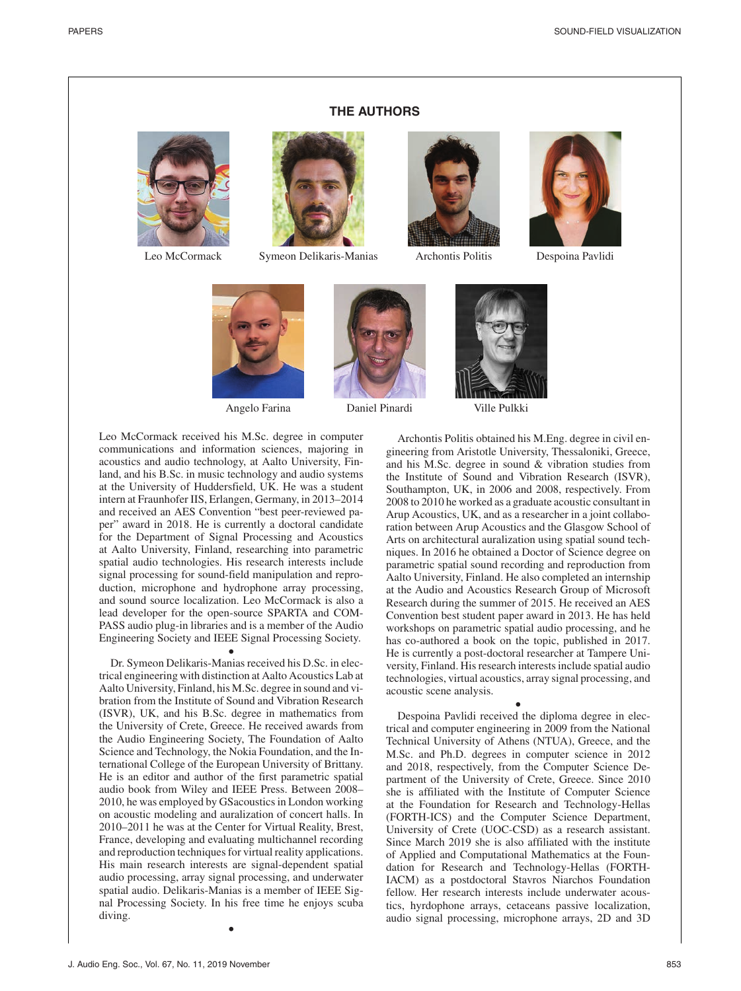



Leo McCormack Symeon Delikaris-Manias Archontis Politis Despoina Pavlidi







Angelo Farina Daniel Pinardi Ville Pulkki



**THE AUTHORS**



Leo McCormack received his M.Sc. degree in computer communications and information sciences, majoring in acoustics and audio technology, at Aalto University, Finland, and his B.Sc. in music technology and audio systems at the University of Huddersfield, UK. He was a student intern at Fraunhofer IIS, Erlangen, Germany, in 2013–2014 and received an AES Convention "best peer-reviewed paper" award in 2018. He is currently a doctoral candidate for the Department of Signal Processing and Acoustics at Aalto University, Finland, researching into parametric spatial audio technologies. His research interests include signal processing for sound-field manipulation and reproduction, microphone and hydrophone array processing, and sound source localization. Leo McCormack is also a lead developer for the open-source SPARTA and COM-PASS audio plug-in libraries and is a member of the Audio Engineering Society and IEEE Signal Processing Society.

•

Dr. Symeon Delikaris-Manias received his D.Sc. in electrical engineering with distinction at Aalto Acoustics Lab at Aalto University, Finland, his M.Sc. degree in sound and vibration from the Institute of Sound and Vibration Research (ISVR), UK, and his B.Sc. degree in mathematics from the University of Crete, Greece. He received awards from the Audio Engineering Society, The Foundation of Aalto Science and Technology, the Nokia Foundation, and the International College of the European University of Brittany. He is an editor and author of the first parametric spatial audio book from Wiley and IEEE Press. Between 2008– 2010, he was employed by GSacoustics in London working on acoustic modeling and auralization of concert halls. In 2010–2011 he was at the Center for Virtual Reality, Brest, France, developing and evaluating multichannel recording and reproduction techniques for virtual reality applications. His main research interests are signal-dependent spatial audio processing, array signal processing, and underwater spatial audio. Delikaris-Manias is a member of IEEE Signal Processing Society. In his free time he enjoys scuba diving.

•

Archontis Politis obtained his M.Eng. degree in civil engineering from Aristotle University, Thessaloniki, Greece, and his M.Sc. degree in sound & vibration studies from the Institute of Sound and Vibration Research (ISVR), Southampton, UK, in 2006 and 2008, respectively. From 2008 to 2010 he worked as a graduate acoustic consultant in Arup Acoustics, UK, and as a researcher in a joint collaboration between Arup Acoustics and the Glasgow School of Arts on architectural auralization using spatial sound techniques. In 2016 he obtained a Doctor of Science degree on parametric spatial sound recording and reproduction from Aalto University, Finland. He also completed an internship at the Audio and Acoustics Research Group of Microsoft Research during the summer of 2015. He received an AES Convention best student paper award in 2013. He has held workshops on parametric spatial audio processing, and he has co-authored a book on the topic, published in 2017. He is currently a post-doctoral researcher at Tampere University, Finland. His research interests include spatial audio technologies, virtual acoustics, array signal processing, and acoustic scene analysis.

• Despoina Pavlidi received the diploma degree in electrical and computer engineering in 2009 from the National Technical University of Athens (NTUA), Greece, and the M.Sc. and Ph.D. degrees in computer science in 2012 and 2018, respectively, from the Computer Science Department of the University of Crete, Greece. Since 2010 she is affiliated with the Institute of Computer Science at the Foundation for Research and Technology-Hellas (FORTH-ICS) and the Computer Science Department, University of Crete (UOC-CSD) as a research assistant. Since March 2019 she is also affiliated with the institute of Applied and Computational Mathematics at the Foundation for Research and Technology-Hellas (FORTH-IACM) as a postdoctoral Stavros Niarchos Foundation fellow. Her research interests include underwater acoustics, hyrdophone arrays, cetaceans passive localization, audio signal processing, microphone arrays, 2D and 3D